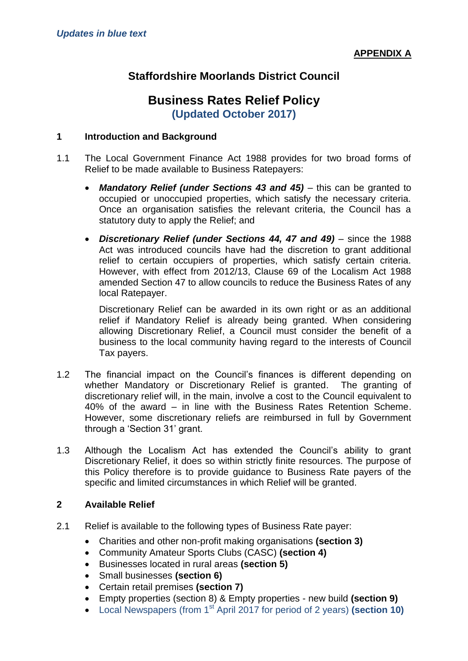# **Staffordshire Moorlands District Council**

# **Business Rates Relief Policy (Updated October 2017)**

#### **1 Introduction and Background**

- 1.1 The Local Government Finance Act 1988 provides for two broad forms of Relief to be made available to Business Ratepayers:
	- *Mandatory Relief (under Sections 43 and 45) this can be granted to* occupied or unoccupied properties, which satisfy the necessary criteria. Once an organisation satisfies the relevant criteria, the Council has a statutory duty to apply the Relief; and
	- *Discretionary Relief (under Sections 44, 47 and 49)* since the 1988 Act was introduced councils have had the discretion to grant additional relief to certain occupiers of properties, which satisfy certain criteria. However, with effect from 2012/13, Clause 69 of the Localism Act 1988 amended Section 47 to allow councils to reduce the Business Rates of any local Ratepayer.

Discretionary Relief can be awarded in its own right or as an additional relief if Mandatory Relief is already being granted. When considering allowing Discretionary Relief, a Council must consider the benefit of a business to the local community having regard to the interests of Council Tax payers.

- 1.2 The financial impact on the Council's finances is different depending on whether Mandatory or Discretionary Relief is granted. The granting of discretionary relief will, in the main, involve a cost to the Council equivalent to 40% of the award – in line with the Business Rates Retention Scheme. However, some discretionary reliefs are reimbursed in full by Government through a 'Section 31' grant.
- 1.3 Although the Localism Act has extended the Council's ability to grant Discretionary Relief, it does so within strictly finite resources. The purpose of this Policy therefore is to provide guidance to Business Rate payers of the specific and limited circumstances in which Relief will be granted.

#### **2 Available Relief**

- 2.1 Relief is available to the following types of Business Rate payer:
	- Charities and other non-profit making organisations **(section 3)**
	- Community Amateur Sports Clubs (CASC) **(section 4)**
	- Businesses located in rural areas **(section 5)**
	- Small businesses **(section 6)**
	- Certain retail premises **(section 7)**
	- Empty properties (section 8) & Empty properties new build **(section 9)**
	- Local Newspapers (from 1st April 2017 for period of 2 years) **(section 10)**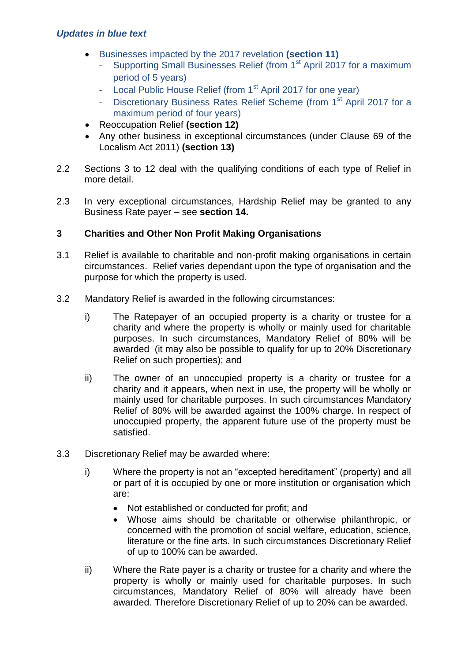- Businesses impacted by the 2017 revelation **(section 11)**
	- Supporting Small Businesses Relief (from 1<sup>st</sup> April 2017 for a maximum period of 5 years)
	- Local Public House Relief (from 1<sup>st</sup> April 2017 for one year)
	- Discretionary Business Rates Relief Scheme (from 1<sup>st</sup> April 2017 for a maximum period of four years)
- Reoccupation Relief **(section 12)**
- Any other business in exceptional circumstances (under Clause 69 of the Localism Act 2011) **(section 13)**
- 2.2 Sections 3 to 12 deal with the qualifying conditions of each type of Relief in more detail.
- 2.3 In very exceptional circumstances, Hardship Relief may be granted to any Business Rate payer – see **section 14.**

# **3 Charities and Other Non Profit Making Organisations**

- 3.1 Relief is available to charitable and non-profit making organisations in certain circumstances. Relief varies dependant upon the type of organisation and the purpose for which the property is used.
- 3.2 Mandatory Relief is awarded in the following circumstances:
	- i) The Ratepayer of an occupied property is a charity or trustee for a charity and where the property is wholly or mainly used for charitable purposes. In such circumstances, Mandatory Relief of 80% will be awarded (it may also be possible to qualify for up to 20% Discretionary Relief on such properties); and
	- ii) The owner of an unoccupied property is a charity or trustee for a charity and it appears, when next in use, the property will be wholly or mainly used for charitable purposes. In such circumstances Mandatory Relief of 80% will be awarded against the 100% charge. In respect of unoccupied property, the apparent future use of the property must be satisfied.
- 3.3 Discretionary Relief may be awarded where:
	- i) Where the property is not an "excepted hereditament" (property) and all or part of it is occupied by one or more institution or organisation which are:
		- Not established or conducted for profit; and
		- Whose aims should be charitable or otherwise philanthropic, or concerned with the promotion of social welfare, education, science, literature or the fine arts. In such circumstances Discretionary Relief of up to 100% can be awarded.
	- ii) Where the Rate payer is a charity or trustee for a charity and where the property is wholly or mainly used for charitable purposes. In such circumstances, Mandatory Relief of 80% will already have been awarded. Therefore Discretionary Relief of up to 20% can be awarded.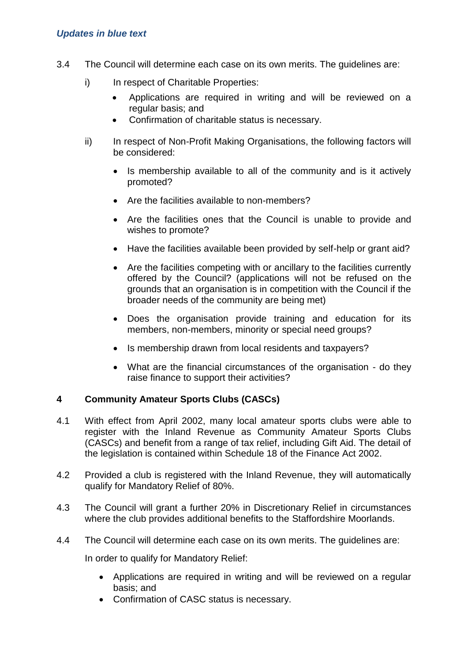- 3.4 The Council will determine each case on its own merits. The guidelines are:
	- i) In respect of Charitable Properties:
		- Applications are required in writing and will be reviewed on a regular basis; and
		- Confirmation of charitable status is necessary.
	- ii) In respect of Non-Profit Making Organisations, the following factors will be considered:
		- Is membership available to all of the community and is it actively promoted?
		- Are the facilities available to non-members?
		- Are the facilities ones that the Council is unable to provide and wishes to promote?
		- Have the facilities available been provided by self-help or grant aid?
		- Are the facilities competing with or ancillary to the facilities currently offered by the Council? (applications will not be refused on the grounds that an organisation is in competition with the Council if the broader needs of the community are being met)
		- Does the organisation provide training and education for its members, non-members, minority or special need groups?
		- Is membership drawn from local residents and taxpayers?
		- What are the financial circumstances of the organisation do they raise finance to support their activities?

#### **4 Community Amateur Sports Clubs (CASCs)**

- 4.1 With effect from April 2002, many local amateur sports clubs were able to register with the Inland Revenue as Community Amateur Sports Clubs (CASCs) and benefit from a range of tax relief, including Gift Aid. The detail of the legislation is contained within Schedule 18 of the Finance Act 2002.
- 4.2 Provided a club is registered with the Inland Revenue, they will automatically qualify for Mandatory Relief of 80%.
- 4.3 The Council will grant a further 20% in Discretionary Relief in circumstances where the club provides additional benefits to the Staffordshire Moorlands.
- 4.4 The Council will determine each case on its own merits. The guidelines are:

In order to qualify for Mandatory Relief:

- Applications are required in writing and will be reviewed on a regular basis; and
- Confirmation of CASC status is necessary.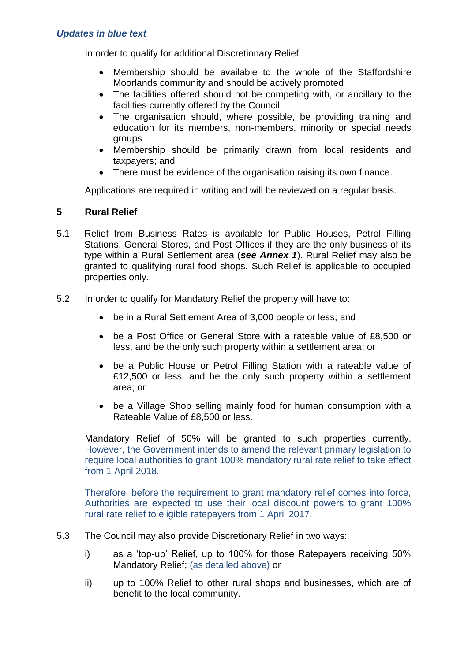In order to qualify for additional Discretionary Relief:

- Membership should be available to the whole of the Staffordshire Moorlands community and should be actively promoted
- The facilities offered should not be competing with, or ancillary to the facilities currently offered by the Council
- The organisation should, where possible, be providing training and education for its members, non-members, minority or special needs groups
- Membership should be primarily drawn from local residents and taxpayers; and
- There must be evidence of the organisation raising its own finance.

Applications are required in writing and will be reviewed on a regular basis.

# **5 Rural Relief**

- 5.1 Relief from Business Rates is available for Public Houses, Petrol Filling Stations, General Stores, and Post Offices if they are the only business of its type within a Rural Settlement area (*see Annex 1*). Rural Relief may also be granted to qualifying rural food shops. Such Relief is applicable to occupied properties only.
- 5.2 In order to qualify for Mandatory Relief the property will have to:
	- be in a Rural Settlement Area of 3,000 people or less; and
	- be a Post Office or General Store with a rateable value of £8,500 or less, and be the only such property within a settlement area; or
	- be a Public House or Petrol Filling Station with a rateable value of £12,500 or less, and be the only such property within a settlement area; or
	- be a Village Shop selling mainly food for human consumption with a Rateable Value of £8,500 or less.

Mandatory Relief of 50% will be granted to such properties currently. However, the Government intends to amend the relevant primary legislation to require local authorities to grant 100% mandatory rural rate relief to take effect from 1 April 2018.

Therefore, before the requirement to grant mandatory relief comes into force, Authorities are expected to use their local discount powers to grant 100% rural rate relief to eligible ratepayers from 1 April 2017.

- 5.3 The Council may also provide Discretionary Relief in two ways:
	- i) as a 'top-up' Relief, up to 100% for those Ratepayers receiving 50% Mandatory Relief; (as detailed above) or
	- ii) up to 100% Relief to other rural shops and businesses, which are of benefit to the local community.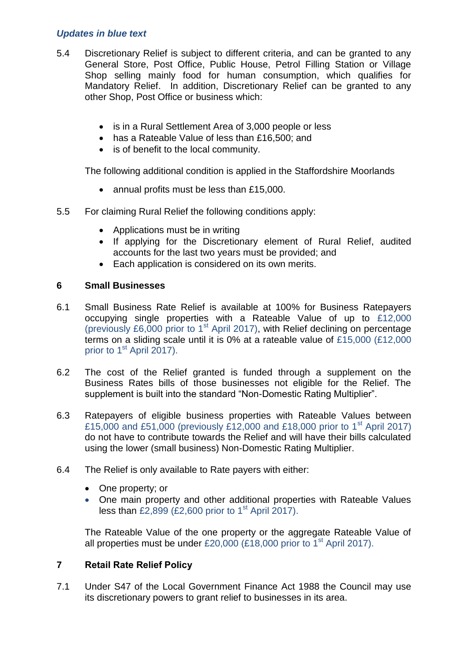- 5.4 Discretionary Relief is subject to different criteria, and can be granted to any General Store, Post Office, Public House, Petrol Filling Station or Village Shop selling mainly food for human consumption, which qualifies for Mandatory Relief. In addition, Discretionary Relief can be granted to any other Shop, Post Office or business which:
	- is in a Rural Settlement Area of 3,000 people or less
	- has a Rateable Value of less than £16,500; and
	- is of benefit to the local community.

The following additional condition is applied in the Staffordshire Moorlands

- annual profits must be less than £15,000.
- 5.5 For claiming Rural Relief the following conditions apply:
	- Applications must be in writing
	- If applying for the Discretionary element of Rural Relief, audited accounts for the last two years must be provided; and
	- Each application is considered on its own merits.

# **6 Small Businesses**

- 6.1 Small Business Rate Relief is available at 100% for Business Ratepayers occupying single properties with a Rateable Value of up to £12,000 (previously £6,000 prior to  $1<sup>st</sup>$  April 2017), with Relief declining on percentage terms on a sliding scale until it is 0% at a rateable value of £15,000 (£12,000 prior to 1<sup>st</sup> April 2017).
- 6.2 The cost of the Relief granted is funded through a supplement on the Business Rates bills of those businesses not eligible for the Relief. The supplement is built into the standard "Non-Domestic Rating Multiplier".
- 6.3 Ratepayers of eligible business properties with Rateable Values between £15,000 and £51,000 (previously £12,000 and £18,000 prior to 1<sup>st</sup> April 2017) do not have to contribute towards the Relief and will have their bills calculated using the lower (small business) Non-Domestic Rating Multiplier.
- 6.4 The Relief is only available to Rate payers with either:
	- One property: or
	- One main property and other additional properties with Rateable Values less than £2,899 (£2,600 prior to  $1<sup>st</sup>$  April 2017).

The Rateable Value of the one property or the aggregate Rateable Value of all properties must be under £20,000 (£18,000 prior to 1<sup>st</sup> April 2017).

# **7 Retail Rate Relief Policy**

7.1 Under S47 of the Local Government Finance Act 1988 the Council may use its discretionary powers to grant relief to businesses in its area.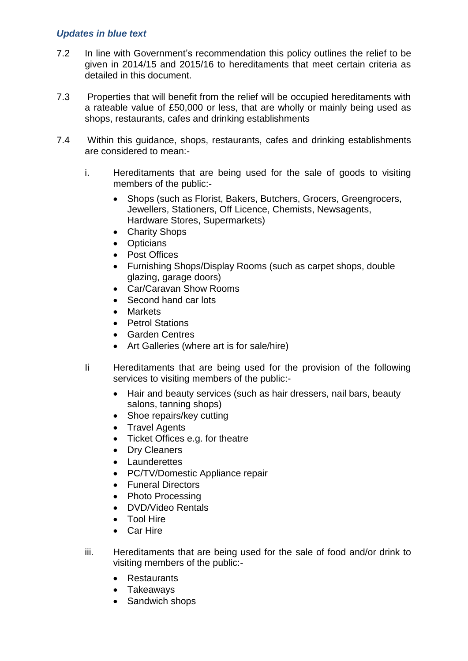- 7.2 In line with Government's recommendation this policy outlines the relief to be given in 2014/15 and 2015/16 to hereditaments that meet certain criteria as detailed in this document.
- 7.3 Properties that will benefit from the relief will be occupied hereditaments with a rateable value of £50,000 or less, that are wholly or mainly being used as shops, restaurants, cafes and drinking establishments
- 7.4 Within this guidance, shops, restaurants, cafes and drinking establishments are considered to mean:
	- i. Hereditaments that are being used for the sale of goods to visiting members of the public:-
		- Shops (such as Florist, Bakers, Butchers, Grocers, Greengrocers, Jewellers, Stationers, Off Licence, Chemists, Newsagents, Hardware Stores, Supermarkets)
		- Charity Shops
		- Opticians
		- Post Offices
		- Furnishing Shops/Display Rooms (such as carpet shops, double glazing, garage doors)
		- Car/Caravan Show Rooms
		- Second hand car lots
		- Markets
		- Petrol Stations
		- Garden Centres
		- Art Galleries (where art is for sale/hire)
	- Ii Hereditaments that are being used for the provision of the following services to visiting members of the public:-
		- Hair and beauty services (such as hair dressers, nail bars, beauty salons, tanning shops)
		- Shoe repairs/key cutting
		- Travel Agents
		- Ticket Offices e.g. for theatre
		- Dry Cleaners
		- Launderettes
		- PC/TV/Domestic Appliance repair
		- Funeral Directors
		- Photo Processing
		- DVD/Video Rentals
		- Tool Hire
		- Car Hire
	- iii. Hereditaments that are being used for the sale of food and/or drink to visiting members of the public:-
		- Restaurants
		- Takeaways
		- Sandwich shops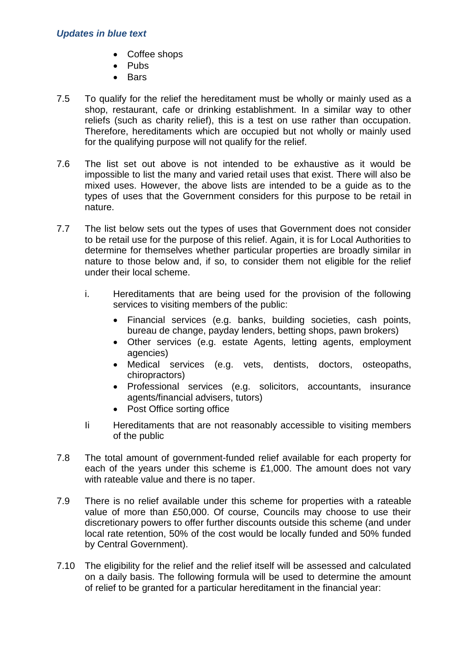- Coffee shops
- $\bullet$  Pubs
- Bars
- 7.5 To qualify for the relief the hereditament must be wholly or mainly used as a shop, restaurant, cafe or drinking establishment. In a similar way to other reliefs (such as charity relief), this is a test on use rather than occupation. Therefore, hereditaments which are occupied but not wholly or mainly used for the qualifying purpose will not qualify for the relief.
- 7.6 The list set out above is not intended to be exhaustive as it would be impossible to list the many and varied retail uses that exist. There will also be mixed uses. However, the above lists are intended to be a guide as to the types of uses that the Government considers for this purpose to be retail in nature.
- 7.7 The list below sets out the types of uses that Government does not consider to be retail use for the purpose of this relief. Again, it is for Local Authorities to determine for themselves whether particular properties are broadly similar in nature to those below and, if so, to consider them not eligible for the relief under their local scheme.
	- i. Hereditaments that are being used for the provision of the following services to visiting members of the public:
		- Financial services (e.g. banks, building societies, cash points, bureau de change, payday lenders, betting shops, pawn brokers)
		- Other services (e.g. estate Agents, letting agents, employment agencies)
		- Medical services (e.g. vets, dentists, doctors, osteopaths, chiropractors)
		- Professional services (e.g. solicitors, accountants, insurance agents/financial advisers, tutors)
		- Post Office sorting office
	- Ii Hereditaments that are not reasonably accessible to visiting members of the public
- 7.8 The total amount of government-funded relief available for each property for each of the years under this scheme is £1,000. The amount does not vary with rateable value and there is no taper.
- 7.9 There is no relief available under this scheme for properties with a rateable value of more than £50,000. Of course, Councils may choose to use their discretionary powers to offer further discounts outside this scheme (and under local rate retention, 50% of the cost would be locally funded and 50% funded by Central Government).
- 7.10 The eligibility for the relief and the relief itself will be assessed and calculated on a daily basis. The following formula will be used to determine the amount of relief to be granted for a particular hereditament in the financial year: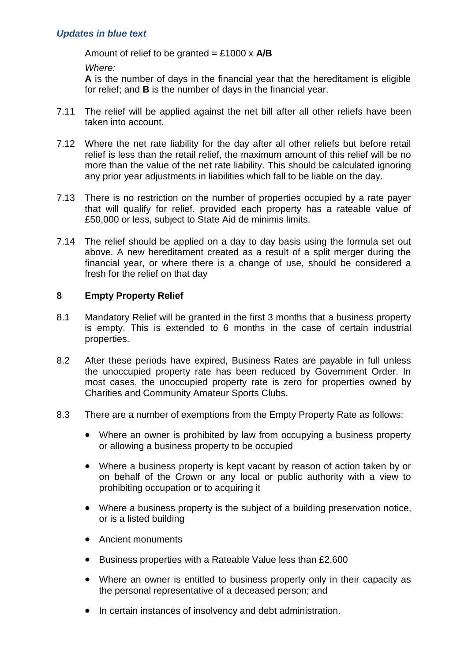Amount of relief to be granted = £1000 x **A/B**

*Where:*

**A** is the number of days in the financial year that the hereditament is eligible for relief; and **B** is the number of days in the financial year.

- 7.11 The relief will be applied against the net bill after all other reliefs have been taken into account.
- 7.12 Where the net rate liability for the day after all other reliefs but before retail relief is less than the retail relief, the maximum amount of this relief will be no more than the value of the net rate liability. This should be calculated ignoring any prior year adjustments in liabilities which fall to be liable on the day.
- 7.13 There is no restriction on the number of properties occupied by a rate payer that will qualify for relief, provided each property has a rateable value of £50,000 or less, subject to State Aid de minimis limits.
- 7.14 The relief should be applied on a day to day basis using the formula set out above. A new hereditament created as a result of a split merger during the financial year, or where there is a change of use, should be considered a fresh for the relief on that day

# **8 Empty Property Relief**

- 8.1 Mandatory Relief will be granted in the first 3 months that a business property is empty. This is extended to 6 months in the case of certain industrial properties.
- 8.2 After these periods have expired, Business Rates are payable in full unless the unoccupied property rate has been reduced by Government Order. In most cases, the unoccupied property rate is zero for properties owned by Charities and Community Amateur Sports Clubs.
- 8.3 There are a number of exemptions from the Empty Property Rate as follows:
	- Where an owner is prohibited by law from occupying a business property or allowing a business property to be occupied
	- Where a business property is kept vacant by reason of action taken by or on behalf of the Crown or any local or public authority with a view to prohibiting occupation or to acquiring it
	- Where a business property is the subject of a building preservation notice, or is a listed building
	- Ancient monuments
	- Business properties with a Rateable Value less than £2,600
	- Where an owner is entitled to business property only in their capacity as the personal representative of a deceased person; and
	- In certain instances of insolvency and debt administration.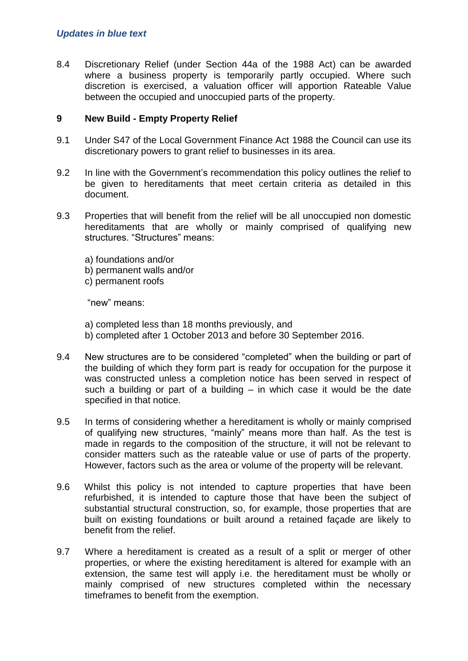8.4 Discretionary Relief (under Section 44a of the 1988 Act) can be awarded where a business property is temporarily partly occupied. Where such discretion is exercised, a valuation officer will apportion Rateable Value between the occupied and unoccupied parts of the property.

#### **9 New Build - Empty Property Relief**

- 9.1 Under S47 of the Local Government Finance Act 1988 the Council can use its discretionary powers to grant relief to businesses in its area.
- 9.2 In line with the Government's recommendation this policy outlines the relief to be given to hereditaments that meet certain criteria as detailed in this document.
- 9.3 Properties that will benefit from the relief will be all unoccupied non domestic hereditaments that are wholly or mainly comprised of qualifying new structures. "Structures" means:
	- a) foundations and/or
	- b) permanent walls and/or
	- c) permanent roofs

"new" means:

- a) completed less than 18 months previously, and
- b) completed after 1 October 2013 and before 30 September 2016.
- 9.4 New structures are to be considered "completed" when the building or part of the building of which they form part is ready for occupation for the purpose it was constructed unless a completion notice has been served in respect of such a building or part of a building – in which case it would be the date specified in that notice.
- 9.5 In terms of considering whether a hereditament is wholly or mainly comprised of qualifying new structures, "mainly" means more than half. As the test is made in regards to the composition of the structure, it will not be relevant to consider matters such as the rateable value or use of parts of the property. However, factors such as the area or volume of the property will be relevant.
- 9.6 Whilst this policy is not intended to capture properties that have been refurbished, it is intended to capture those that have been the subject of substantial structural construction, so, for example, those properties that are built on existing foundations or built around a retained façade are likely to benefit from the relief.
- 9.7 Where a hereditament is created as a result of a split or merger of other properties, or where the existing hereditament is altered for example with an extension, the same test will apply i.e. the hereditament must be wholly or mainly comprised of new structures completed within the necessary timeframes to benefit from the exemption.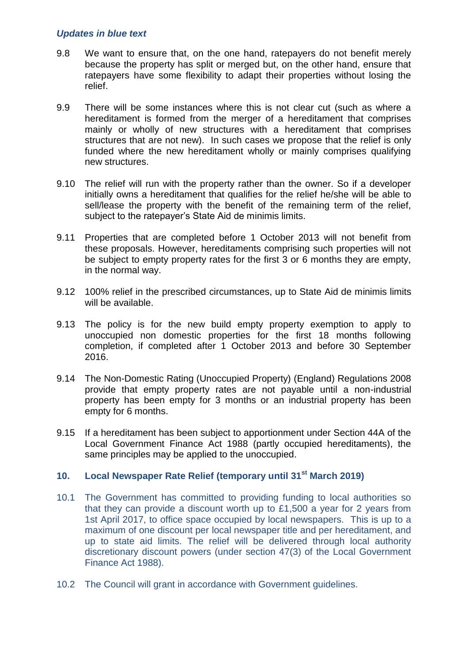- 9.8 We want to ensure that, on the one hand, ratepayers do not benefit merely because the property has split or merged but, on the other hand, ensure that ratepayers have some flexibility to adapt their properties without losing the relief.
- 9.9 There will be some instances where this is not clear cut (such as where a hereditament is formed from the merger of a hereditament that comprises mainly or wholly of new structures with a hereditament that comprises structures that are not new). In such cases we propose that the relief is only funded where the new hereditament wholly or mainly comprises qualifying new structures.
- 9.10 The relief will run with the property rather than the owner. So if a developer initially owns a hereditament that qualifies for the relief he/she will be able to sell/lease the property with the benefit of the remaining term of the relief, subject to the ratepayer's State Aid de minimis limits.
- 9.11 Properties that are completed before 1 October 2013 will not benefit from these proposals. However, hereditaments comprising such properties will not be subject to empty property rates for the first 3 or 6 months they are empty, in the normal way.
- 9.12 100% relief in the prescribed circumstances, up to State Aid de minimis limits will be available.
- 9.13 The policy is for the new build empty property exemption to apply to unoccupied non domestic properties for the first 18 months following completion, if completed after 1 October 2013 and before 30 September 2016.
- 9.14 The Non-Domestic Rating (Unoccupied Property) (England) Regulations 2008 provide that empty property rates are not payable until a non-industrial property has been empty for 3 months or an industrial property has been empty for 6 months.
- 9.15 If a hereditament has been subject to apportionment under Section 44A of the Local Government Finance Act 1988 (partly occupied hereditaments), the same principles may be applied to the unoccupied.

#### **10. Local Newspaper Rate Relief (temporary until 31st March 2019)**

- 10.1 The Government has committed to providing funding to local authorities so that they can provide a discount worth up to £1,500 a year for 2 years from 1st April 2017, to office space occupied by local newspapers. This is up to a maximum of one discount per local newspaper title and per hereditament, and up to state aid limits. The relief will be delivered through local authority discretionary discount powers (under section 47(3) of the Local Government Finance Act 1988).
- 10.2 The Council will grant in accordance with Government guidelines.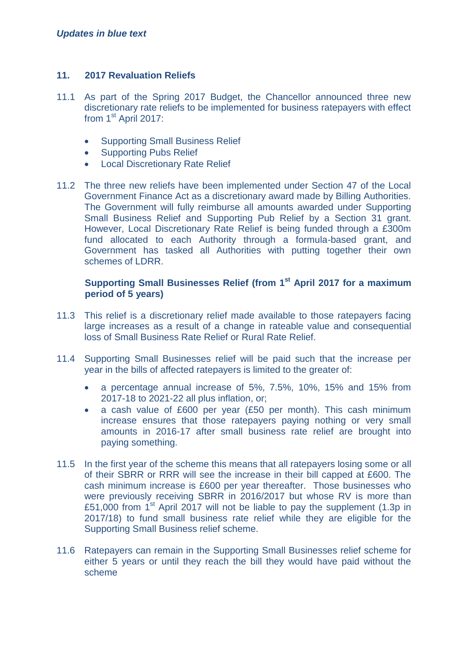## **11. 2017 Revaluation Reliefs**

- 11.1 As part of the Spring 2017 Budget, the Chancellor announced three new discretionary rate reliefs to be implemented for business ratepayers with effect from  $1<sup>st</sup>$  April 2017:
	- Supporting Small Business Relief
	- Supporting Pubs Relief
	- Local Discretionary Rate Relief
- 11.2 The three new reliefs have been implemented under Section 47 of the Local Government Finance Act as a discretionary award made by Billing Authorities. The Government will fully reimburse all amounts awarded under Supporting Small Business Relief and Supporting Pub Relief by a Section 31 grant. However, Local Discretionary Rate Relief is being funded through a £300m fund allocated to each Authority through a formula-based grant, and Government has tasked all Authorities with putting together their own schemes of LDRR.

## **Supporting Small Businesses Relief (from 1st April 2017 for a maximum period of 5 years)**

- 11.3 This relief is a discretionary relief made available to those ratepayers facing large increases as a result of a change in rateable value and consequential loss of Small Business Rate Relief or Rural Rate Relief.
- 11.4 Supporting Small Businesses relief will be paid such that the increase per year in the bills of affected ratepayers is limited to the greater of:
	- a percentage annual increase of 5%, 7.5%, 10%, 15% and 15% from 2017-18 to 2021-22 all plus inflation, or;
	- a cash value of £600 per year (£50 per month). This cash minimum increase ensures that those ratepayers paying nothing or very small amounts in 2016-17 after small business rate relief are brought into paying something.
- 11.5 In the first year of the scheme this means that all ratepayers losing some or all of their SBRR or RRR will see the increase in their bill capped at £600. The cash minimum increase is £600 per year thereafter. Those businesses who were previously receiving SBRR in 2016/2017 but whose RV is more than £51,000 from  $1<sup>st</sup>$  April 2017 will not be liable to pay the supplement (1.3p in 2017/18) to fund small business rate relief while they are eligible for the Supporting Small Business relief scheme.
- 11.6 Ratepayers can remain in the Supporting Small Businesses relief scheme for either 5 years or until they reach the bill they would have paid without the scheme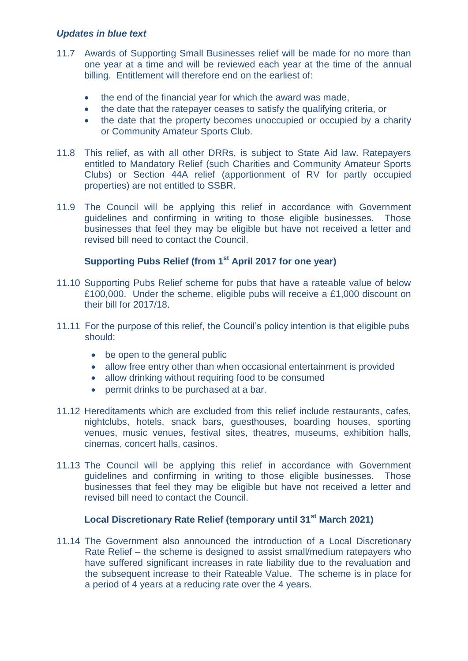- 11.7 Awards of Supporting Small Businesses relief will be made for no more than one year at a time and will be reviewed each year at the time of the annual billing. Entitlement will therefore end on the earliest of:
	- the end of the financial year for which the award was made,
	- the date that the ratepayer ceases to satisfy the qualifying criteria, or
	- the date that the property becomes unoccupied or occupied by a charity or Community Amateur Sports Club.
- 11.8 This relief, as with all other DRRs, is subject to State Aid law. Ratepayers entitled to Mandatory Relief (such Charities and Community Amateur Sports Clubs) or Section 44A relief (apportionment of RV for partly occupied properties) are not entitled to SSBR.
- 11.9 The Council will be applying this relief in accordance with Government guidelines and confirming in writing to those eligible businesses. Those businesses that feel they may be eligible but have not received a letter and revised bill need to contact the Council.

# **Supporting Pubs Relief (from 1st April 2017 for one year)**

- 11.10 Supporting Pubs Relief scheme for pubs that have a rateable value of below £100,000. Under the scheme, eligible pubs will receive a £1,000 discount on their bill for 2017/18.
- 11.11 For the purpose of this relief, the Council's policy intention is that eligible pubs should:
	- be open to the general public
	- allow free entry other than when occasional entertainment is provided
	- allow drinking without requiring food to be consumed
	- permit drinks to be purchased at a bar.
- 11.12 Hereditaments which are excluded from this relief include restaurants, cafes, nightclubs, hotels, snack bars, guesthouses, boarding houses, sporting venues, music venues, festival sites, theatres, museums, exhibition halls, cinemas, concert halls, casinos.
- 11.13 The Council will be applying this relief in accordance with Government guidelines and confirming in writing to those eligible businesses. Those businesses that feel they may be eligible but have not received a letter and revised bill need to contact the Council.

#### **Local Discretionary Rate Relief (temporary until 31st March 2021)**

11.14 The Government also announced the introduction of a Local Discretionary Rate Relief – the scheme is designed to assist small/medium ratepayers who have suffered significant increases in rate liability due to the revaluation and the subsequent increase to their Rateable Value. The scheme is in place for a period of 4 years at a reducing rate over the 4 years.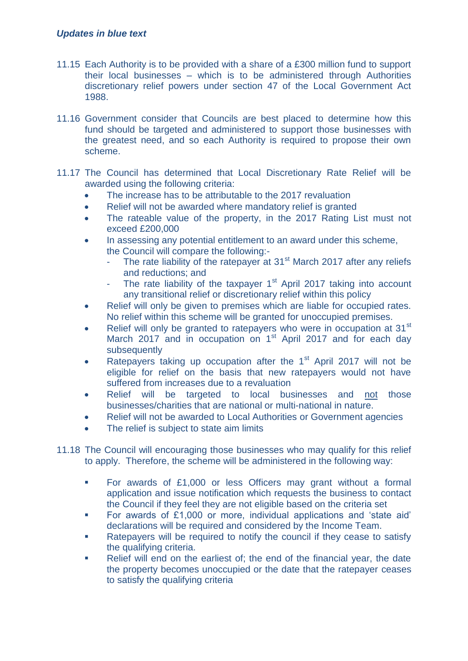- 11.15 Each Authority is to be provided with a share of a £300 million fund to support their local businesses – which is to be administered through Authorities discretionary relief powers under section 47 of the Local Government Act 1988.
- 11.16 Government consider that Councils are best placed to determine how this fund should be targeted and administered to support those businesses with the greatest need, and so each Authority is required to propose their own scheme.
- 11.17 The Council has determined that Local Discretionary Rate Relief will be awarded using the following criteria:
	- The increase has to be attributable to the 2017 revaluation
	- Relief will not be awarded where mandatory relief is granted
	- The rateable value of the property, in the 2017 Rating List must not exceed £200,000
	- In assessing any potential entitlement to an award under this scheme, the Council will compare the following:-
		- The rate liability of the ratepayer at  $31<sup>st</sup>$  March 2017 after any reliefs and reductions; and
		- The rate liability of the taxpayer  $1<sup>st</sup>$  April 2017 taking into account any transitional relief or discretionary relief within this policy
	- Relief will only be given to premises which are liable for occupied rates. No relief within this scheme will be granted for unoccupied premises.
	- Relief will only be granted to ratepayers who were in occupation at 31<sup>st</sup> March 2017 and in occupation on 1<sup>st</sup> April 2017 and for each day subsequently
	- Ratepayers taking up occupation after the 1<sup>st</sup> April 2017 will not be eligible for relief on the basis that new ratepayers would not have suffered from increases due to a revaluation
	- Relief will be targeted to local businesses and not those businesses/charities that are national or multi-national in nature.
	- Relief will not be awarded to Local Authorities or Government agencies
	- The relief is subject to state aim limits
- 11.18 The Council will encouraging those businesses who may qualify for this relief to apply. Therefore, the scheme will be administered in the following way:
	- For awards of £1,000 or less Officers may grant without a formal application and issue notification which requests the business to contact the Council if they feel they are not eligible based on the criteria set
	- For awards of £1,000 or more, individual applications and 'state aid' declarations will be required and considered by the Income Team.
	- Ratepayers will be required to notify the council if they cease to satisfy the qualifying criteria.
	- Relief will end on the earliest of; the end of the financial year, the date the property becomes unoccupied or the date that the ratepayer ceases to satisfy the qualifying criteria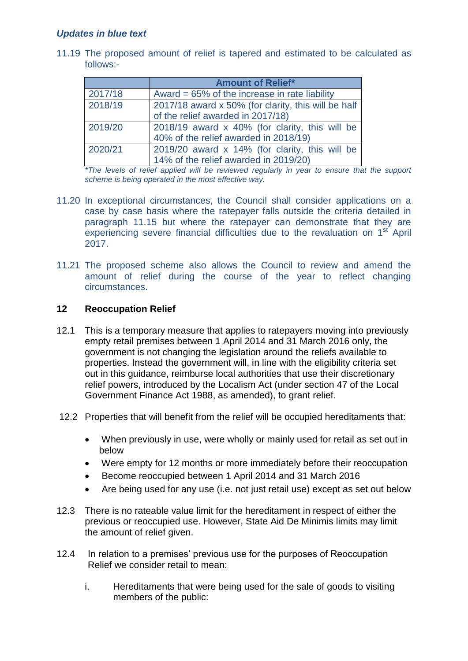11.19 The proposed amount of relief is tapered and estimated to be calculated as follows:-

|         | <b>Amount of Relief*</b>                            |  |  |
|---------|-----------------------------------------------------|--|--|
| 2017/18 | Award = $65\%$ of the increase in rate liability    |  |  |
| 2018/19 | 2017/18 award x 50% (for clarity, this will be half |  |  |
|         | of the relief awarded in 2017/18)                   |  |  |
| 2019/20 | 2018/19 award x 40% (for clarity, this will be      |  |  |
|         | 40% of the relief awarded in 2018/19)               |  |  |
| 2020/21 | 2019/20 award x 14% (for clarity, this will be      |  |  |
|         | 14% of the relief awarded in 2019/20)               |  |  |

*\*The levels of relief applied will be reviewed regularly in year to ensure that the support scheme is being operated in the most effective way.* 

- 11.20 In exceptional circumstances, the Council shall consider applications on a case by case basis where the ratepayer falls outside the criteria detailed in paragraph 11.15 but where the ratepayer can demonstrate that they are experiencing severe financial difficulties due to the revaluation on 1<sup>st</sup> April 2017.
- 11.21 The proposed scheme also allows the Council to review and amend the amount of relief during the course of the year to reflect changing circumstances.

#### **12 Reoccupation Relief**

- 12.1 This is a temporary measure that applies to ratepayers moving into previously empty retail premises between 1 April 2014 and 31 March 2016 only, the government is not changing the legislation around the reliefs available to properties. Instead the government will, in line with the eligibility criteria set out in this guidance, reimburse local authorities that use their discretionary relief powers, introduced by the Localism Act (under section 47 of the Local Government Finance Act 1988, as amended), to grant relief.
- 12.2 Properties that will benefit from the relief will be occupied hereditaments that:
	- When previously in use, were wholly or mainly used for retail as set out in below
	- Were empty for 12 months or more immediately before their reoccupation
	- Become reoccupied between 1 April 2014 and 31 March 2016
	- Are being used for any use (i.e. not just retail use) except as set out below
- 12.3 There is no rateable value limit for the hereditament in respect of either the previous or reoccupied use. However, State Aid De Minimis limits may limit the amount of relief given.
- 12.4 In relation to a premises' previous use for the purposes of Reoccupation Relief we consider retail to mean:
	- i. Hereditaments that were being used for the sale of goods to visiting members of the public: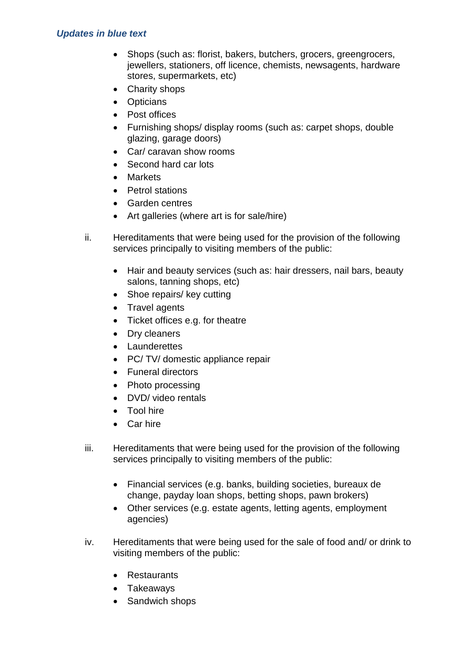- Shops (such as: florist, bakers, butchers, grocers, greengrocers, jewellers, stationers, off licence, chemists, newsagents, hardware stores, supermarkets, etc)
- Charity shops
- Opticians
- Post offices
- Furnishing shops/ display rooms (such as: carpet shops, double glazing, garage doors)
- Car/ caravan show rooms
- Second hard car lots
- Markets
- Petrol stations
- Garden centres
- Art galleries (where art is for sale/hire)
- ii. Hereditaments that were being used for the provision of the following services principally to visiting members of the public:
	- Hair and beauty services (such as: hair dressers, nail bars, beauty salons, tanning shops, etc)
	- Shoe repairs/ key cutting
	- Travel agents
	- Ticket offices e.g. for theatre
	- Dry cleaners
	- Launderettes
	- PC/ TV/ domestic appliance repair
	- Funeral directors
	- Photo processing
	- DVD/ video rentals
	- Tool hire
	- Car hire
- iii. Hereditaments that were being used for the provision of the following services principally to visiting members of the public:
	- Financial services (e.g. banks, building societies, bureaux de change, payday loan shops, betting shops, pawn brokers)
	- Other services (e.g. estate agents, letting agents, employment agencies)
- iv. Hereditaments that were being used for the sale of food and/ or drink to visiting members of the public:
	- Restaurants
	- Takeaways
	- Sandwich shops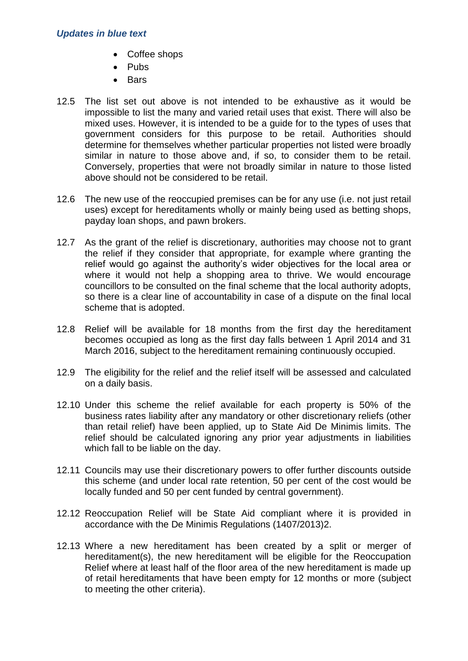- Coffee shops
- $\bullet$  Pubs
- $B =$ Bars
- 12.5 The list set out above is not intended to be exhaustive as it would be impossible to list the many and varied retail uses that exist. There will also be mixed uses. However, it is intended to be a guide for to the types of uses that government considers for this purpose to be retail. Authorities should determine for themselves whether particular properties not listed were broadly similar in nature to those above and, if so, to consider them to be retail. Conversely, properties that were not broadly similar in nature to those listed above should not be considered to be retail.
- 12.6 The new use of the reoccupied premises can be for any use (i.e. not just retail uses) except for hereditaments wholly or mainly being used as betting shops, payday loan shops, and pawn brokers.
- 12.7 As the grant of the relief is discretionary, authorities may choose not to grant the relief if they consider that appropriate, for example where granting the relief would go against the authority's wider objectives for the local area or where it would not help a shopping area to thrive. We would encourage councillors to be consulted on the final scheme that the local authority adopts, so there is a clear line of accountability in case of a dispute on the final local scheme that is adopted.
- 12.8 Relief will be available for 18 months from the first day the hereditament becomes occupied as long as the first day falls between 1 April 2014 and 31 March 2016, subject to the hereditament remaining continuously occupied.
- 12.9 The eligibility for the relief and the relief itself will be assessed and calculated on a daily basis.
- 12.10 Under this scheme the relief available for each property is 50% of the business rates liability after any mandatory or other discretionary reliefs (other than retail relief) have been applied, up to State Aid De Minimis limits. The relief should be calculated ignoring any prior year adjustments in liabilities which fall to be liable on the day.
- 12.11 Councils may use their discretionary powers to offer further discounts outside this scheme (and under local rate retention, 50 per cent of the cost would be locally funded and 50 per cent funded by central government).
- 12.12 Reoccupation Relief will be State Aid compliant where it is provided in accordance with the De Minimis Regulations (1407/2013)2.
- 12.13 Where a new hereditament has been created by a split or merger of hereditament(s), the new hereditament will be eligible for the Reoccupation Relief where at least half of the floor area of the new hereditament is made up of retail hereditaments that have been empty for 12 months or more (subject to meeting the other criteria).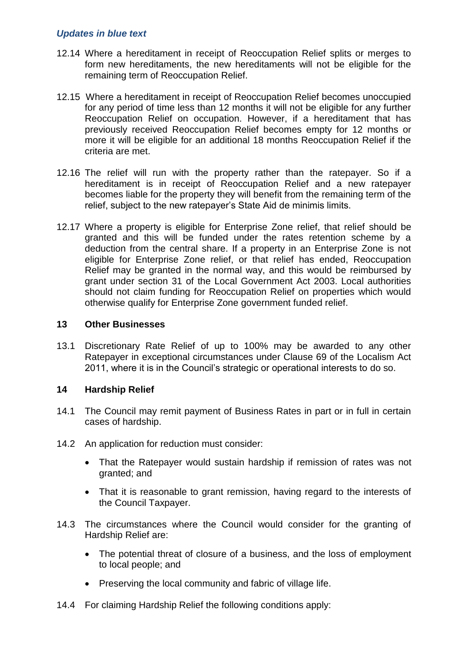- 12.14 Where a hereditament in receipt of Reoccupation Relief splits or merges to form new hereditaments, the new hereditaments will not be eligible for the remaining term of Reoccupation Relief.
- 12.15 Where a hereditament in receipt of Reoccupation Relief becomes unoccupied for any period of time less than 12 months it will not be eligible for any further Reoccupation Relief on occupation. However, if a hereditament that has previously received Reoccupation Relief becomes empty for 12 months or more it will be eligible for an additional 18 months Reoccupation Relief if the criteria are met.
- 12.16 The relief will run with the property rather than the ratepayer. So if a hereditament is in receipt of Reoccupation Relief and a new ratepayer becomes liable for the property they will benefit from the remaining term of the relief, subject to the new ratepayer's State Aid de minimis limits.
- 12.17 Where a property is eligible for Enterprise Zone relief, that relief should be granted and this will be funded under the rates retention scheme by a deduction from the central share. If a property in an Enterprise Zone is not eligible for Enterprise Zone relief, or that relief has ended, Reoccupation Relief may be granted in the normal way, and this would be reimbursed by grant under section 31 of the Local Government Act 2003. Local authorities should not claim funding for Reoccupation Relief on properties which would otherwise qualify for Enterprise Zone government funded relief.

#### **13 Other Businesses**

13.1 Discretionary Rate Relief of up to 100% may be awarded to any other Ratepayer in exceptional circumstances under Clause 69 of the Localism Act 2011, where it is in the Council's strategic or operational interests to do so.

#### **14 Hardship Relief**

- 14.1 The Council may remit payment of Business Rates in part or in full in certain cases of hardship.
- 14.2 An application for reduction must consider:
	- That the Ratepayer would sustain hardship if remission of rates was not granted; and
	- That it is reasonable to grant remission, having regard to the interests of the Council Taxpayer.
- 14.3 The circumstances where the Council would consider for the granting of Hardship Relief are:
	- The potential threat of closure of a business, and the loss of employment to local people; and
	- Preserving the local community and fabric of village life.
- 14.4 For claiming Hardship Relief the following conditions apply: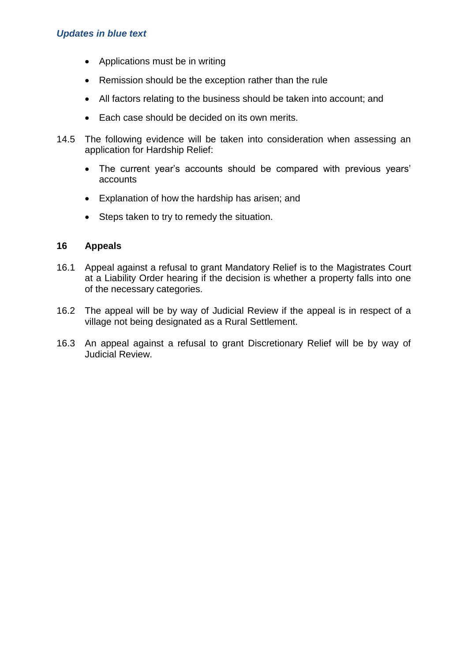- Applications must be in writing
- Remission should be the exception rather than the rule
- All factors relating to the business should be taken into account; and
- Each case should be decided on its own merits.
- 14.5 The following evidence will be taken into consideration when assessing an application for Hardship Relief:
	- The current year's accounts should be compared with previous years' accounts
	- Explanation of how the hardship has arisen; and
	- Steps taken to try to remedy the situation.

#### **16 Appeals**

- 16.1 Appeal against a refusal to grant Mandatory Relief is to the Magistrates Court at a Liability Order hearing if the decision is whether a property falls into one of the necessary categories.
- 16.2 The appeal will be by way of Judicial Review if the appeal is in respect of a village not being designated as a Rural Settlement.
- 16.3 An appeal against a refusal to grant Discretionary Relief will be by way of Judicial Review.